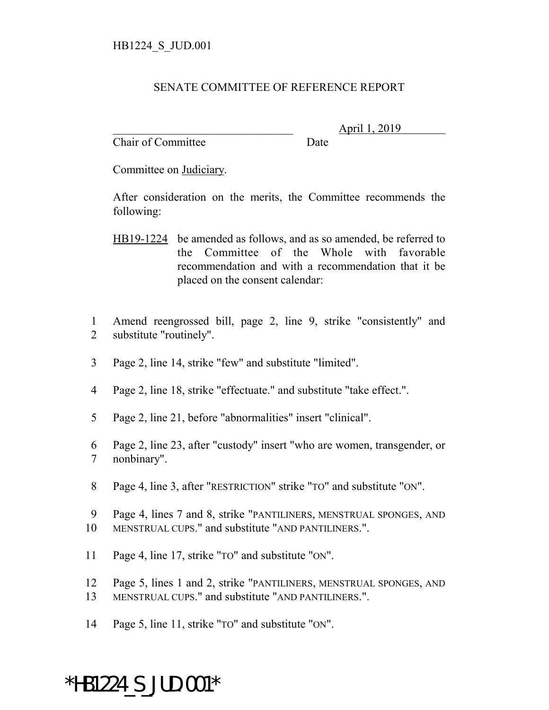## SENATE COMMITTEE OF REFERENCE REPORT

Chair of Committee Date

\_\_\_\_\_\_\_\_\_\_\_\_\_\_\_\_\_\_\_\_\_\_\_\_\_\_\_\_\_\_\_ April 1, 2019

Committee on Judiciary.

After consideration on the merits, the Committee recommends the following:

- HB19-1224 be amended as follows, and as so amended, be referred to the Committee of the Whole with favorable recommendation and with a recommendation that it be placed on the consent calendar:
- 1 Amend reengrossed bill, page 2, line 9, strike "consistently" and 2 substitute "routinely".
- 3 Page 2, line 14, strike "few" and substitute "limited".
- 4 Page 2, line 18, strike "effectuate." and substitute "take effect.".
- 5 Page 2, line 21, before "abnormalities" insert "clinical".
- 6 Page 2, line 23, after "custody" insert "who are women, transgender, or 7 nonbinary".
- 8 Page 4, line 3, after "RESTRICTION" strike "TO" and substitute "ON".
- 9 Page 4, lines 7 and 8, strike "PANTILINERS, MENSTRUAL SPONGES, AND 10 MENSTRUAL CUPS." and substitute "AND PANTILINERS.".
- 11 Page 4, line 17, strike "TO" and substitute "ON".
- 12 Page 5, lines 1 and 2, strike "PANTILINERS, MENSTRUAL SPONGES, AND 13 MENSTRUAL CUPS." and substitute "AND PANTILINERS.".
- 14 Page 5, line 11, strike "TO" and substitute "ON".

## \*HB1224\_S\_JUD.001\*